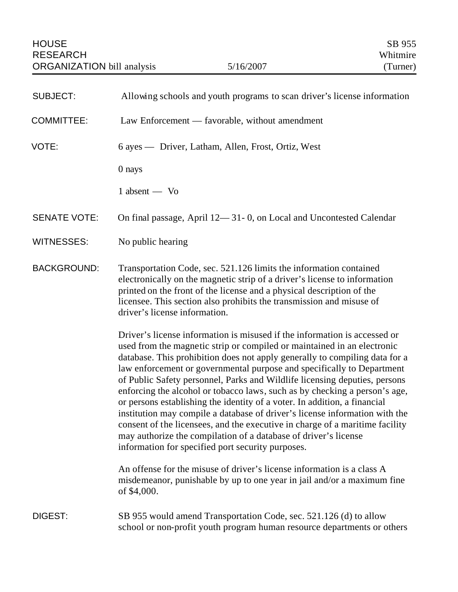| <b>SUBJECT:</b>     | Allowing schools and youth programs to scan driver's license information                                                                                                                                                                                                                                                                                                                                                                                                                                                                                                                                                                                                                                                                                                                                                                      |
|---------------------|-----------------------------------------------------------------------------------------------------------------------------------------------------------------------------------------------------------------------------------------------------------------------------------------------------------------------------------------------------------------------------------------------------------------------------------------------------------------------------------------------------------------------------------------------------------------------------------------------------------------------------------------------------------------------------------------------------------------------------------------------------------------------------------------------------------------------------------------------|
| <b>COMMITTEE:</b>   | Law Enforcement — favorable, without amendment                                                                                                                                                                                                                                                                                                                                                                                                                                                                                                                                                                                                                                                                                                                                                                                                |
| VOTE:               | 6 ayes — Driver, Latham, Allen, Frost, Ortiz, West                                                                                                                                                                                                                                                                                                                                                                                                                                                                                                                                                                                                                                                                                                                                                                                            |
|                     | 0 nays                                                                                                                                                                                                                                                                                                                                                                                                                                                                                                                                                                                                                                                                                                                                                                                                                                        |
|                     | $1$ absent $-$ Vo                                                                                                                                                                                                                                                                                                                                                                                                                                                                                                                                                                                                                                                                                                                                                                                                                             |
| <b>SENATE VOTE:</b> | On final passage, April 12—31-0, on Local and Uncontested Calendar                                                                                                                                                                                                                                                                                                                                                                                                                                                                                                                                                                                                                                                                                                                                                                            |
| <b>WITNESSES:</b>   | No public hearing                                                                                                                                                                                                                                                                                                                                                                                                                                                                                                                                                                                                                                                                                                                                                                                                                             |
| <b>BACKGROUND:</b>  | Transportation Code, sec. 521.126 limits the information contained<br>electronically on the magnetic strip of a driver's license to information<br>printed on the front of the license and a physical description of the<br>licensee. This section also prohibits the transmission and misuse of<br>driver's license information.                                                                                                                                                                                                                                                                                                                                                                                                                                                                                                             |
|                     | Driver's license information is misused if the information is accessed or<br>used from the magnetic strip or compiled or maintained in an electronic<br>database. This prohibition does not apply generally to compiling data for a<br>law enforcement or governmental purpose and specifically to Department<br>of Public Safety personnel, Parks and Wildlife licensing deputies, persons<br>enforcing the alcohol or tobacco laws, such as by checking a person's age,<br>or persons establishing the identity of a voter. In addition, a financial<br>institution may compile a database of driver's license information with the<br>consent of the licensees, and the executive in charge of a maritime facility<br>may authorize the compilation of a database of driver's license<br>information for specified port security purposes. |
|                     | An offense for the misuse of driver's license information is a class A<br>misdemeanor, punishable by up to one year in jail and/or a maximum fine<br>of \$4,000.                                                                                                                                                                                                                                                                                                                                                                                                                                                                                                                                                                                                                                                                              |
| <b>DIGEST:</b>      | SB 955 would amend Transportation Code, sec. 521.126 (d) to allow<br>school or non-profit youth program human resource departments or others                                                                                                                                                                                                                                                                                                                                                                                                                                                                                                                                                                                                                                                                                                  |